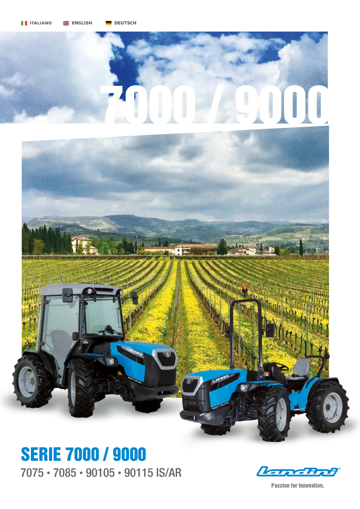## $000$



7075 • 7085 • 90105 • 90115 IS/AR SERIE 7000 / 9000

**Kanchot** 

**Passion for Innovation.**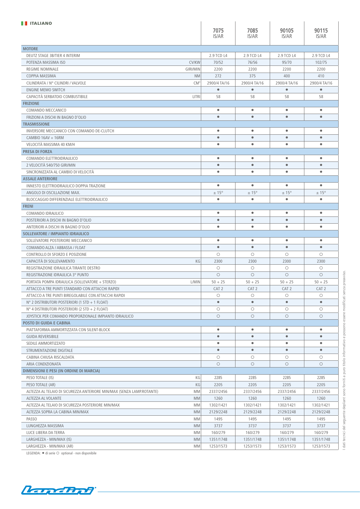| <b>TELLIANO</b>                                                       |                 |                         |                                    |                        |                      |
|-----------------------------------------------------------------------|-----------------|-------------------------|------------------------------------|------------------------|----------------------|
|                                                                       |                 | 7075                    | 7085                               | 90105                  | 90115                |
|                                                                       |                 | IS/AR                   | IS/AR                              | IS/AR                  | IS/AR                |
|                                                                       |                 |                         |                                    |                        |                      |
| <b>MOTORE</b><br>DEUTZ STAGE 3B/TIER 4 INTERIM                        |                 | 2.9 TCD L4              | 2.9 TCD L4                         | 2.9 TCD L4             | 2.9 TCD L4           |
| POTENZA MASSIMA ISO                                                   | <b>CV/KW</b>    | 70/52                   | 76/56                              | 95/70                  | 102/75               |
| <b>REGIME NOMINALE</b>                                                | <b>GIRI/MIN</b> | 2200                    | 2200                               | 2200                   | 2200                 |
| COPPIA MASSIMA                                                        | <b>NM</b>       | 272                     | 375                                | 400                    | 410                  |
|                                                                       | $CM^3$          | 2900/4 TA/16            | 2900/4 TA/16                       | 2900/4 TA/16           | 2900/4 TA/16         |
| CILINDRATA / N° CILINDRI / VALVOLE                                    |                 | $\bullet$               | $\bullet$                          | $\bullet$              | $\bullet$            |
| ENGINE MEMO SWITCH<br>CAPACITÀ SERBATOIO COMBUSTIBILE                 |                 |                         |                                    |                        | 58                   |
| <b>FRIZIONE</b>                                                       | LITRI           | 58                      | 58                                 | 58                     |                      |
|                                                                       |                 |                         |                                    |                        | $\bullet$            |
| COMANDO MECCANICO                                                     |                 | $\bullet$<br>$\bullet$  | ۰<br>$\bullet$                     | $\bullet$<br>$\bullet$ | $\bullet$            |
| FRIZIONI A DISCHI IN BAGNO D'OLIO                                     |                 |                         |                                    |                        |                      |
| <b>TRASMISSIONE</b>                                                   |                 |                         |                                    |                        |                      |
| INVERSORE MECCANICO CON COMANDO DE-CLUTCH                             |                 | $\bullet$               | $\bullet$                          | $\bullet$              | $\bullet$            |
| $CAMBIO 16AV + 16RM$                                                  |                 | $\bullet$               | $\bullet$                          | $\bullet$              | $\bullet$            |
| VELOCITÀ MASSIMA 40 KM/H                                              |                 | $\bullet$               | $\bullet$                          | $\bullet$              | $\bullet$            |
| <b>PRESA DI FORZA</b>                                                 |                 |                         |                                    |                        |                      |
| COMANDO ELETTROIDRAULICO                                              |                 | $\bullet$               | ۰                                  | $\bullet$              | $\bullet$            |
| 2 VELOCITÀ 540/750 GIRI/MIN                                           |                 | $\bullet$               | $\bullet$                          | $\bullet$              | $\bullet$            |
| SINCRONIZZATA AL CAMBIO DI VELOCITÀ                                   |                 | $\bullet$               | $\bullet$                          | $\bullet$              | $\bullet$            |
| <b>ASSALE ANTERIORE</b>                                               |                 |                         |                                    |                        |                      |
| INNESTO ELETTROIDRAULICO DOPPIA TRAZIONE                              |                 | ۰                       | $\bullet$                          | $\bullet$              | $\bullet$            |
| ANGOLO DI OSCILLAZIONE MAX.                                           |                 | $\pm$ 15°               | $\pm$ 15 $^{\circ}$                | $\pm$ 15°              | $± 15^{\circ}$       |
| BLOCCAGGIO DIFFERENZIALE ELETTROIDRAULICO                             |                 | $\bullet$               | $\bullet$                          | $\bullet$              | $\bullet$            |
| <b>FRENI</b>                                                          |                 |                         |                                    |                        |                      |
| COMANDO IDRAULICO                                                     |                 | $\bullet$               | ۰                                  | $\bullet$              | $\bullet$            |
| POSTERIORI A DISCHI IN BAGNO D'OLIO                                   |                 | $\qquad \qquad \bullet$ | $\bullet$                          | $\bullet$              | $\bullet$            |
| ANTERIORI A DISCHI IN BAGNO D'OLIO                                    |                 | $\bullet$               | $\bullet$                          | $\bullet$              | $\bullet$            |
|                                                                       |                 |                         |                                    |                        |                      |
| SOLLEVATORE / IMPIANTO IDRAULICO                                      |                 |                         |                                    |                        |                      |
| SOLLEVATORE POSTERIORE MECCANICO                                      |                 | $\bullet$               | ۰                                  | $\bullet$              | $\bullet$            |
| COMANDO ALZA / ABBASSA / FLOAT                                        |                 | $\bullet$               | $\qquad \qquad \bullet$            | $\bullet$              | $\bullet$            |
| CONTROLLO DI SFORZO E POSIZIONE                                       |                 | $\circ$                 | $\circ$                            | O                      | $\circ$              |
|                                                                       |                 |                         |                                    |                        |                      |
| CAPACITÀ DI SOLLEVAMENTO<br>REGISTRAZIONE IDRAULICA TIRANTE DESTRO    | KG              | 2300<br>$\circ$         | 2300<br>$\circ$                    | 2300<br>$\circ$        | 2300<br>$\circ$      |
|                                                                       |                 |                         |                                    |                        | $\circ$              |
| REGISTRAZIONE IDRAULICA 3° PUNTO                                      |                 | $\circ$                 | $\circ$                            | $\circ$                |                      |
| PORTATA POMPA IDRAULICA (SOLLEVATORE + STERZO)                        | L/MIN           | $50 + 25$               | $50 + 25$                          | $50 + 25$              | $50 + 25$            |
| ATTACCO A TRE PUNTI STANDARD CON ATTACCHI RAPIDI                      |                 | CAT <sub>2</sub>        | CAT <sub>2</sub>                   | CAT <sub>2</sub>       | CAT <sub>2</sub>     |
| ATTACCO A TRE PUNTI BIREGOLABILE CON ATTACCHI RAPIDI                  |                 | $\circ$<br>$\bullet$    | $\circ$<br>$\qquad \qquad \bullet$ | $\circ$<br>$\bullet$   | $\circ$<br>$\bullet$ |
| N° 2 DISTRIBUTORI POSTERIORI (1 STD + 1 FLOAT)                        |                 |                         |                                    |                        |                      |
| N° 4 DISTRIBUTORI POSTERIORI (2 STD + 2 FLOAT)                        |                 | $\bigcirc$              | $\circ$                            | О                      | $\circ$              |
| JOYSTICK PER COMANDO PROPORZIONALE IMPIANTO IDRAULICO                 |                 | $\circ$                 | $\circ$                            | $\circ$                | $\circ$              |
| POSTO DI GUIDA E CABINA                                               |                 |                         |                                    |                        |                      |
| PIATTAFORMA AMMORTIZZATA CON SILENT-BLOCK                             |                 | $\bullet$               | ۰                                  | $\bullet$              | $\bullet$            |
| <b>GUIDA REVERSIBILE</b>                                              |                 | $\bullet$               | $\bullet$                          | $\bullet$              | $\bullet$            |
| SEDILE AMMORTIZZATO                                                   |                 | $\bullet$               | $\bullet$                          | $\bullet$              | $\bullet$            |
| STRUMENTAZIONE DIGITALE                                               |                 | $\bullet$               | $\bullet$                          | $\bullet$              | $\bullet$            |
| CABINA CHIUSA RISCALDATA                                              |                 | $\bigcirc$              | $\circ$                            | $\circ$                | $\circ$              |
| ARIA CONDIZIONATA                                                     |                 | $\bigcirc$              | $\circ$                            | $\bigcirc$             | $\circ$              |
| DIMENSIONI E PESI (IN ORDINE DI MARCIA)                               |                 |                         |                                    |                        |                      |
| PESO TOTALE (IS)                                                      | КG              | 2285                    | 2285                               | 2285                   | 2285                 |
| PESO TOTALE (AR)                                                      | KG              | 2205                    | 2205                               | 2205                   | 2205                 |
| ALTEZZA AL TELAIO DI SICUREZZA ANTERIORE MIN/MAX (SENZA LAMP.ROTANTE) | MM              | 2337/2456               | 2337/2456                          | 2337/2456              | 2337/2456            |
| ALTEZZA AL VOLANTE                                                    | <b>MM</b>       | 1260                    | 1260                               | 1260                   | 1260                 |
| ALTEZZA AL TELAIO DI SICUREZZA POSTERIORE MIN/MAX                     | MM              | 1302/1421               | 1302/1421                          | 1302/1421              | 1302/1421            |
| ALTEZZA SOPRA LA CABINA MIN/MAX                                       | <b>MM</b>       | 2129/2248               | 2129/2248                          | 2129/2248              | 2129/2248            |
| <b>PASSO</b>                                                          | MM              | 1495                    | 1495                               | 1495                   | 1495                 |
| LUNGHEZZA MASSIMA                                                     | <b>MM</b>       | 3737                    | 3737                               | 3737                   | 3737                 |
| LUCE LIBERA DA TERRA                                                  | MM              | 160/279                 | 160/279                            | 160/279                | 160/279              |
| LARGHEZZA - MIN/MAX (IS)                                              | <b>MM</b>       | 1351/1748               | 1351/1748                          | 1351/1748              | 1351/1748            |

LEGENDA:  $\bullet$  di serie  $\circ$  optional - non disponibile

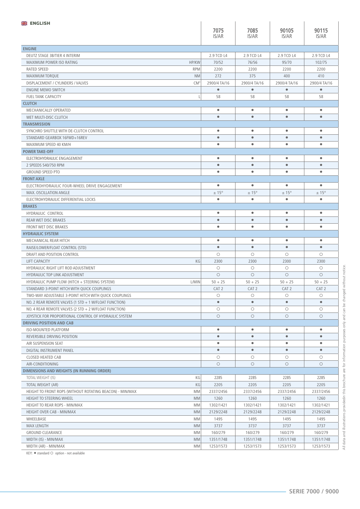| <b>ENGLISH</b>                                                           |                        |                         |                  |                         |
|--------------------------------------------------------------------------|------------------------|-------------------------|------------------|-------------------------|
|                                                                          | 7075                   | 7085                    | 90105            | 90115                   |
|                                                                          | IS/AR                  | IS/AR                   | IS/AR            | IS/AR                   |
|                                                                          |                        |                         |                  |                         |
| <b>ENGINE</b><br>DEUTZ STAGE 3B/TIER 4 INTERIM                           | 2.9 TCD L4             | 2.9 TCD L4              | 2.9 TCD L4       | 2.9 TCD L4              |
| <b>HP/KW</b><br>MAXIMUM POWER ISO RATING                                 | 70/52                  | 76/56                   | 95/70            | 102/75                  |
|                                                                          |                        |                         |                  |                         |
| <b>RATED SPEED</b><br><b>RPM</b>                                         | 2200                   | 2200                    | 2200             | 2200                    |
| <b>MAXIMUM TORQUE</b><br><b>NM</b>                                       | 272                    | 375                     | 400              | 410                     |
| DISPLACEMENT / CYLINDERS / VALVES<br>CM <sup>3</sup>                     | 2900/4 TA/16           | 2900/4 TA/16            | 2900/4 TA/16     | 2900/4 TA/16            |
| <b>ENGINE MEMO SWITCH</b>                                                | $\bullet$              | $\bullet$               | $\bullet$        | $\bullet$               |
| <b>FUEL TANK CAPACITY</b>                                                | 58                     | 58                      | 58               | 58                      |
| <b>CLUTCH</b>                                                            |                        |                         |                  |                         |
| MECHANICALLY OPERATED                                                    | $\bullet$              | $\bullet$               | $\bullet$        | $\bullet$               |
| WET MULTI-DISC CLUTCH                                                    | $\bullet$              | $\bullet$               | $\bullet$        | $\bullet$               |
| <b>TRANSMISSION</b>                                                      |                        |                         |                  |                         |
| SYNCHRO SHUTTLE WITH DE-CLUTCH CONTROL                                   | $\bullet$              | $\bullet$               | ٠                | $\bullet$               |
| STANDARD GEARBOX 16FWD+16REV                                             | $\bullet$              | $\bullet$               | $\bullet$        | $\bullet$               |
| MAXIMUM SPEED 40 KM/H                                                    | $\bullet$              | $\bullet$               | $\bullet$        | $\bullet$               |
| <b>POWER TAKE-OFF</b>                                                    |                        |                         |                  |                         |
| ELECTROHYDRAULIC ENGAGEMENT                                              | $\bullet$              | $\bullet$               | $\bullet$        | $\bullet$               |
| 2 SPEEDS 540/750 RPM                                                     | $\bullet$              | $\bullet$               | $\bullet$        | $\bullet$               |
| <b>GROUND SPEED PTO</b>                                                  | $\bullet$              | $\bullet$               | $\bullet$        | $\bullet$               |
| <b>FRONT AXLE</b>                                                        |                        |                         |                  |                         |
| ELECTROHYDRAULIC FOUR-WHEEL DRIVE ENGAGEMENT                             | $\bullet$              | ۰                       | $\bullet$        | $\bullet$               |
| MAX. OSCILLATION ANGLE                                                   | $± 15^{\circ}$         | $\pm$ 15°               | $\pm$ 15°        | $± 15^{\circ}$          |
| ELECTROHYDRAULIC DIFFERENTIAL LOCKS                                      | $\bullet$              | $\bullet$               | $\bullet$        | $\bullet$               |
| <b>BRAKES</b>                                                            |                        |                         |                  |                         |
| HYDRAULIC CONTROL                                                        | $\bullet$              | $\bullet$               | $\bullet$        | $\bullet$               |
| <b>REAR WET DISC BRAKES</b>                                              | $\bullet$              | $\bullet$               | $\bullet$        | $\bullet$               |
| <b>FRONT WET DISC BRAKES</b>                                             | $\bullet$              | $\bullet$               | ۰                | $\bullet$               |
| <b>HYDRAULIC SYSTEM</b>                                                  |                        |                         |                  |                         |
|                                                                          |                        |                         |                  |                         |
| MECHANICAL REAR HITCH                                                    | $\bullet$              | $\bullet$               | $\bullet$        | $\bullet$               |
| RAISE/LOWER/FLOAT CONTROL (STD)                                          | $\bullet$              | $\bullet$               | $\bullet$        | $\bullet$               |
| DRAFT AND POSITION CONTROL                                               | $\circ$                | $\circ$                 | $\circ$          | $\circ$                 |
|                                                                          |                        |                         |                  |                         |
| <b>LIFT CAPACITY</b><br>KG<br><b>HYDRAULIC RIGHT LIFT ROD ADJUSTMENT</b> | 2300<br>$\circ$        | 2300<br>$\circ$         | 2300<br>$\circ$  | 2300<br>$\circ$         |
|                                                                          | $\circ$                | $\circ$                 | $\circ$          | $\circ$                 |
| HYDRAULIC TOP LINK ADJUSTMENT                                            | $50 + 25$              |                         |                  | $50 + 25$               |
| HYDRAULIC PUMP FLOW (HITCH + STEERING SYSTEM)<br>L/MIN                   |                        | $50 + 25$               | $50 + 25$        |                         |
| STANDARD 3-POINT HITCH WITH OUICK COUPLINGS                              | CAT <sub>2</sub>       | CAT <sub>2</sub>        | CAT <sub>2</sub> | CAT <sub>2</sub>        |
| TWO-WAY ADJUSTABLE 3-POINT HITCH WITH QUICK COUPLINGS                    | О<br>$\bullet$         | О<br>$\bullet$          | О<br>$\bullet$   | $\bigcirc$<br>$\bullet$ |
| NO. 2 REAR REMOTE VALVES (1 STD + 1 W/FLOAT FUNCTION)                    |                        |                         |                  |                         |
| NO. 4 REAR REMOTE VALVES (2 STD + 2 W/FLOAT FUNCTION)                    | $\circ$                | $\bigcirc$              | $\circ$          | $\bigcirc$              |
| JOYSTICK FOR PROPORTIONAL CONTROL OF HYDRAULIC SYSTEM                    | $\bigcirc$             | $\circ$                 | $\circ$          | $\bigcirc$              |
| <b>DRIVING POSITION AND CAB</b>                                          |                        |                         |                  |                         |
| <b>ISO-MOUNTED PLATFORM</b>                                              | $\bullet$              | $\bullet$               | $\bullet$        | $\bullet$               |
| REVERSIBLE DRIVING POSITION                                              | $\bullet$              | $\qquad \qquad \bullet$ | $\bullet$        | $\bullet$               |
| AIR SUSPENSION SEAT                                                      | $\bullet$              | $\bullet$               | $\bullet$        | $\bullet$               |
| DIGITAL INSTRUMENT PANEL                                                 | $\bullet$              | $\bullet$               | $\bullet$        | $\bullet$               |
| <b>CLOSED HEATED CAB</b>                                                 | $\circ$                | $\bigcirc$              | $\bigcirc$       | $\bigcirc$              |
| AIR-CONDITIONING                                                         | $\circ$                | $\circ$                 | $\circ$          | $\circ$                 |
| DIMENSIONS AND WEIGHTS (IN RUNNING ORDER)                                |                        |                         |                  |                         |
| КG<br>TOTAL WEIGHT (IS)                                                  | 2285                   | 2285                    | 2285             | 2285                    |
| KG<br>TOTAL WEIGHT (AR)                                                  | 2205                   | 2205                    | 2205             | 2205                    |
| HEIGHT TO FRONT ROPS (WITHOUT ROTATING BEACON) - MIN/MAX<br>MM           | 2337/2456              | 2337/2456               | 2337/2456        | 2337/2456               |
| HEIGHT TO STEERING WHEEL<br><b>MM</b>                                    | 1260                   | 1260                    | 1260             | 1260                    |
| HEIGHT TO REAR ROPS - MIN/MAX<br>МM                                      | 1302/1421              | 1302/1421               | 1302/1421        | 1302/1421               |
| HEIGHT OVER CAB - MIN/MAX<br><b>MM</b>                                   | 2129/2248              | 2129/2248               | 2129/2248        | 2129/2248               |
| WHEELBASE<br>MM                                                          | 1495                   | 1495                    | 1495             | 1495                    |
| <b>MAX LENGTH</b><br><b>MM</b>                                           | 3737                   | 3737                    | 3737             | 3737                    |
| <b>GROUND CLEARANCE</b><br><b>MM</b>                                     | 160/279                | 160/279                 | 160/279          | 160/279                 |
| WIDTH (IS) - MIN/MAX<br>MM                                               | 1351/1748<br>1253/1573 | 1351/1748               | 1351/1748        | 1351/1748               |

 $KEY:$  • standard  $\bigcirc$  option - not available